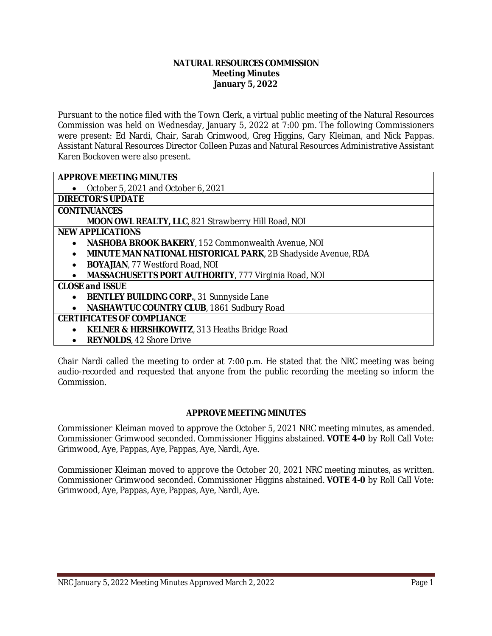#### **NATURAL RESOURCES COMMISSION Meeting Minutes January 5, 2022**

Pursuant to the notice filed with the Town Clerk, a virtual public meeting of the Natural Resources Commission was held on Wednesday, January 5, 2022 at 7:00 pm. The following Commissioners were present: Ed Nardi, Chair, Sarah Grimwood, Greg Higgins, Gary Kleiman, and Nick Pappas. Assistant Natural Resources Director Colleen Puzas and Natural Resources Administrative Assistant Karen Bockoven were also present.

| <b>APPROVE MEETING MINUTES</b>                                       |
|----------------------------------------------------------------------|
| October 5, 2021 and October 6, 2021                                  |
| <b>DIRECTOR'S UPDATE</b>                                             |
| <b>CONTINUANCES</b>                                                  |
| <b>MOON OWL REALTY, LLC. 821 Strawberry Hill Road, NOI</b>           |
| <b>NEW APPLICATIONS</b>                                              |
| <b>NASHOBA BROOK BAKERY, 152 Commonwealth Avenue, NOI</b>            |
| <b>MINUTE MAN NATIONAL HISTORICAL PARK, 2B Shadyside Avenue, RDA</b> |
| <b>BOYAJIAN, 77 Westford Road, NOI</b><br>$\bullet$                  |
| <b>MASSACHUSETTS PORT AUTHORITY, 777 Virginia Road, NOI</b>          |
| <b>CLOSE and ISSUE</b>                                               |
| <b>BENTLEY BUILDING CORP., 31 Sunnyside Lane</b>                     |
| NASHAWTUC COUNTRY CLUB, 1861 Sudbury Road<br>$\bullet$               |
| <b>CERTIFICATES OF COMPLIANCE</b>                                    |
| <b>KELNER &amp; HERSHKOWITZ, 313 Heaths Bridge Road</b>              |
| <b>REYNOLDS, 42 Shore Drive</b>                                      |

Chair Nardi called the meeting to order at 7:00 p.m. He stated that the NRC meeting was being audio-recorded and requested that anyone from the public recording the meeting so inform the Commission.

## **APPROVE MEETING MINUTES**

Commissioner Kleiman moved to approve the October 5, 2021 NRC meeting minutes, as amended. Commissioner Grimwood seconded. Commissioner Higgins abstained. **VOTE 4-0** by Roll Call Vote: Grimwood, Aye, Pappas, Aye, Pappas, Aye, Nardi, Aye.

Commissioner Kleiman moved to approve the October 20, 2021 NRC meeting minutes, as written. Commissioner Grimwood seconded. Commissioner Higgins abstained. **VOTE 4-0** by Roll Call Vote: Grimwood, Aye, Pappas, Aye, Pappas, Aye, Nardi, Aye.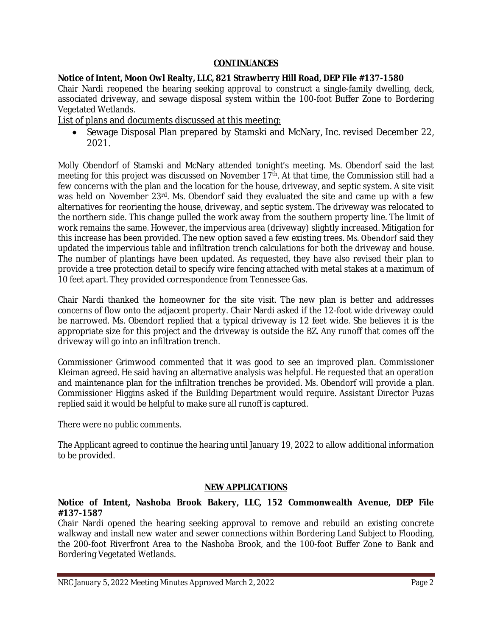## **CONTINUANCES**

## **Notice of Intent, Moon Owl Realty, LLC, 821 Strawberry Hill Road, DEP File #137-1580**

Chair Nardi reopened the hearing seeking approval to construct a single-family dwelling, deck, associated driveway, and sewage disposal system within the 100-foot Buffer Zone to Bordering Vegetated Wetlands.

List of plans and documents discussed at this meeting:

• Sewage Disposal Plan prepared by Stamski and McNary, Inc. revised December 22, 2021.

Molly Obendorf of Stamski and McNary attended tonight's meeting. Ms. Obendorf said the last meeting for this project was discussed on November 17<sup>th</sup>. At that time, the Commission still had a few concerns with the plan and the location for the house, driveway, and septic system. A site visit was held on November 23<sup>rd</sup>. Ms. Obendorf said they evaluated the site and came up with a few alternatives for reorienting the house, driveway, and septic system. The driveway was relocated to the northern side. This change pulled the work away from the southern property line. The limit of work remains the same. However, the impervious area (driveway) slightly increased. Mitigation for this increase has been provided. The new option saved a few existing trees. Ms. Obendorf said they updated the impervious table and infiltration trench calculations for both the driveway and house. The number of plantings have been updated. As requested, they have also revised their plan to provide a tree protection detail to specify wire fencing attached with metal stakes at a maximum of 10 feet apart. They provided correspondence from Tennessee Gas.

Chair Nardi thanked the homeowner for the site visit. The new plan is better and addresses concerns of flow onto the adjacent property. Chair Nardi asked if the 12-foot wide driveway could be narrowed. Ms. Obendorf replied that a typical driveway is 12 feet wide. She believes it is the appropriate size for this project and the driveway is outside the BZ. Any runoff that comes off the driveway will go into an infiltration trench.

Commissioner Grimwood commented that it was good to see an improved plan. Commissioner Kleiman agreed. He said having an alternative analysis was helpful. He requested that an operation and maintenance plan for the infiltration trenches be provided. Ms. Obendorf will provide a plan. Commissioner Higgins asked if the Building Department would require. Assistant Director Puzas replied said it would be helpful to make sure all runoff is captured.

There were no public comments.

The Applicant agreed to continue the hearing until January 19, 2022 to allow additional information to be provided.

## **NEW APPLICATIONS**

## **Notice of Intent, Nashoba Brook Bakery, LLC, 152 Commonwealth Avenue, DEP File #137-1587**

Chair Nardi opened the hearing seeking approval to remove and rebuild an existing concrete walkway and install new water and sewer connections within Bordering Land Subject to Flooding, the 200-foot Riverfront Area to the Nashoba Brook, and the 100-foot Buffer Zone to Bank and Bordering Vegetated Wetlands.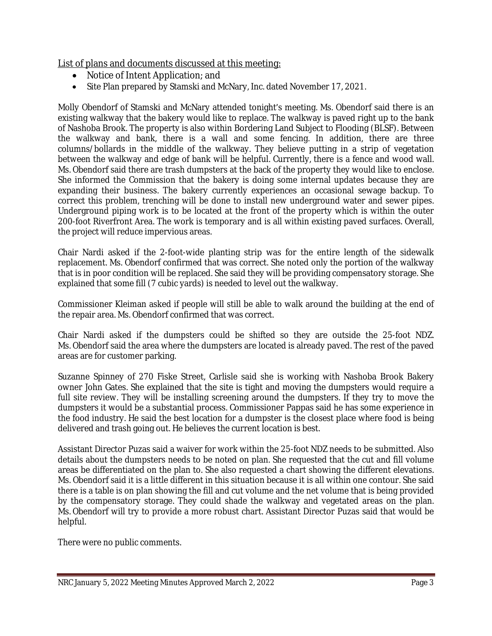List of plans and documents discussed at this meeting:

- Notice of Intent Application; and
- Site Plan prepared by Stamski and McNary, Inc. dated November 17, 2021.

Molly Obendorf of Stamski and McNary attended tonight's meeting. Ms. Obendorf said there is an existing walkway that the bakery would like to replace. The walkway is paved right up to the bank of Nashoba Brook. The property is also within Bordering Land Subject to Flooding (BLSF). Between the walkway and bank, there is a wall and some fencing. In addition, there are three columns/bollards in the middle of the walkway. They believe putting in a strip of vegetation between the walkway and edge of bank will be helpful. Currently, there is a fence and wood wall. Ms. Obendorf said there are trash dumpsters at the back of the property they would like to enclose. She informed the Commission that the bakery is doing some internal updates because they are expanding their business. The bakery currently experiences an occasional sewage backup. To correct this problem, trenching will be done to install new underground water and sewer pipes. Underground piping work is to be located at the front of the property which is within the outer 200-foot Riverfront Area. The work is temporary and is all within existing paved surfaces. Overall, the project will reduce impervious areas.

Chair Nardi asked if the 2-foot-wide planting strip was for the entire length of the sidewalk replacement. Ms. Obendorf confirmed that was correct. She noted only the portion of the walkway that is in poor condition will be replaced. She said they will be providing compensatory storage. She explained that some fill (7 cubic yards) is needed to level out the walkway.

Commissioner Kleiman asked if people will still be able to walk around the building at the end of the repair area. Ms. Obendorf confirmed that was correct.

Chair Nardi asked if the dumpsters could be shifted so they are outside the 25-foot NDZ. Ms. Obendorf said the area where the dumpsters are located is already paved. The rest of the paved areas are for customer parking.

Suzanne Spinney of 270 Fiske Street, Carlisle said she is working with Nashoba Brook Bakery owner John Gates. She explained that the site is tight and moving the dumpsters would require a full site review. They will be installing screening around the dumpsters. If they try to move the dumpsters it would be a substantial process. Commissioner Pappas said he has some experience in the food industry. He said the best location for a dumpster is the closest place where food is being delivered and trash going out. He believes the current location is best.

Assistant Director Puzas said a waiver for work within the 25-foot NDZ needs to be submitted. Also details about the dumpsters needs to be noted on plan. She requested that the cut and fill volume areas be differentiated on the plan to. She also requested a chart showing the different elevations. Ms. Obendorf said it is a little different in this situation because it is all within one contour. She said there is a table is on plan showing the fill and cut volume and the net volume that is being provided by the compensatory storage. They could shade the walkway and vegetated areas on the plan. Ms. Obendorf will try to provide a more robust chart. Assistant Director Puzas said that would be helpful.

There were no public comments.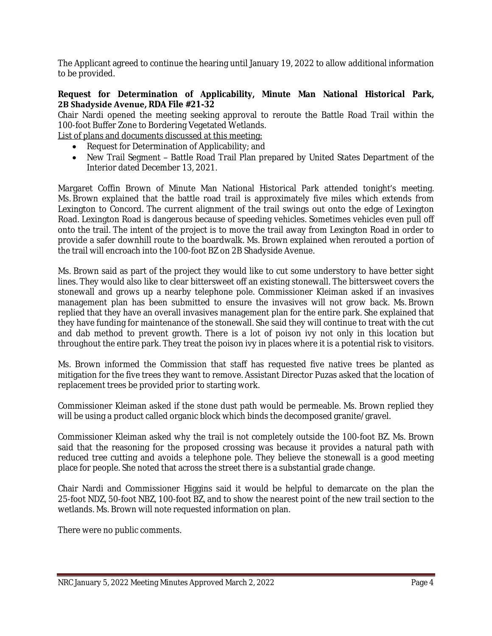The Applicant agreed to continue the hearing until January 19, 2022 to allow additional information to be provided.

## **Request for Determination of Applicability, Minute Man National Historical Park, 2B Shadyside Avenue, RDA File #21-32**

Chair Nardi opened the meeting seeking approval to reroute the Battle Road Trail within the 100-foot Buffer Zone to Bordering Vegetated Wetlands.

List of plans and documents discussed at this meeting:

- Request for Determination of Applicability; and
- New Trail Segment Battle Road Trail Plan prepared by United States Department of the Interior dated December 13, 2021.

Margaret Coffin Brown of Minute Man National Historical Park attended tonight's meeting. Ms. Brown explained that the battle road trail is approximately five miles which extends from Lexington to Concord. The current alignment of the trail swings out onto the edge of Lexington Road. Lexington Road is dangerous because of speeding vehicles. Sometimes vehicles even pull off onto the trail. The intent of the project is to move the trail away from Lexington Road in order to provide a safer downhill route to the boardwalk. Ms. Brown explained when rerouted a portion of the trail will encroach into the 100-foot BZ on 2B Shadyside Avenue.

Ms. Brown said as part of the project they would like to cut some understory to have better sight lines. They would also like to clear bittersweet off an existing stonewall. The bittersweet covers the stonewall and grows up a nearby telephone pole. Commissioner Kleiman asked if an invasives management plan has been submitted to ensure the invasives will not grow back. Ms. Brown replied that they have an overall invasives management plan for the entire park. She explained that they have funding for maintenance of the stonewall. She said they will continue to treat with the cut and dab method to prevent growth. There is a lot of poison ivy not only in this location but throughout the entire park. They treat the poison ivy in places where it is a potential risk to visitors.

Ms. Brown informed the Commission that staff has requested five native trees be planted as mitigation for the five trees they want to remove. Assistant Director Puzas asked that the location of replacement trees be provided prior to starting work.

Commissioner Kleiman asked if the stone dust path would be permeable. Ms. Brown replied they will be using a product called organic block which binds the decomposed granite/gravel.

Commissioner Kleiman asked why the trail is not completely outside the 100-foot BZ. Ms. Brown said that the reasoning for the proposed crossing was because it provides a natural path with reduced tree cutting and avoids a telephone pole. They believe the stonewall is a good meeting place for people. She noted that across the street there is a substantial grade change.

Chair Nardi and Commissioner Higgins said it would be helpful to demarcate on the plan the 25-foot NDZ, 50-foot NBZ, 100-foot BZ, and to show the nearest point of the new trail section to the wetlands. Ms. Brown will note requested information on plan.

There were no public comments.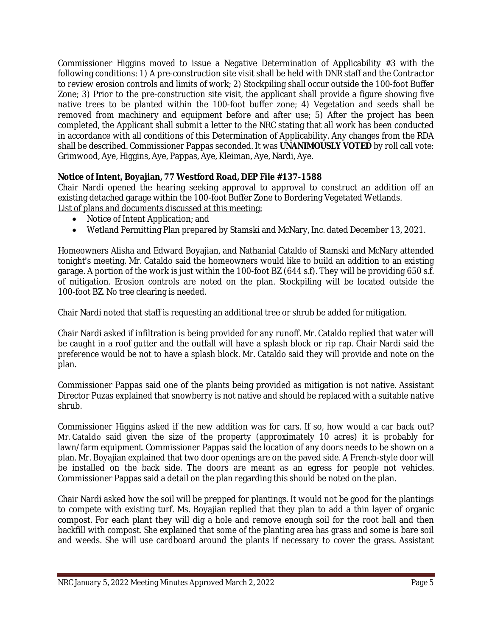Commissioner Higgins moved to issue a Negative Determination of Applicability #3 with the following conditions: 1) A pre-construction site visit shall be held with DNR staff and the Contractor to review erosion controls and limits of work; 2) Stockpiling shall occur outside the 100-foot Buffer Zone; 3) Prior to the pre-construction site visit, the applicant shall provide a figure showing five native trees to be planted within the 100-foot buffer zone; 4) Vegetation and seeds shall be removed from machinery and equipment before and after use; 5) After the project has been completed, the Applicant shall submit a letter to the NRC stating that all work has been conducted in accordance with all conditions of this Determination of Applicability. Any changes from the RDA shall be described. Commissioner Pappas seconded. It was **UNANIMOUSLY VOTED** by roll call vote: Grimwood, Aye, Higgins, Aye, Pappas, Aye, Kleiman, Aye, Nardi, Aye.

# **Notice of Intent, Boyajian, 77 Westford Road, DEP File #137-1588**

Chair Nardi opened the hearing seeking approval to approval to construct an addition off an existing detached garage within the 100-foot Buffer Zone to Bordering Vegetated Wetlands. List of plans and documents discussed at this meeting:

- Notice of Intent Application; and
- Wetland Permitting Plan prepared by Stamski and McNary, Inc. dated December 13, 2021.

Homeowners Alisha and Edward Boyajian, and Nathanial Cataldo of Stamski and McNary attended tonight's meeting. Mr. Cataldo said the homeowners would like to build an addition to an existing garage. A portion of the work is just within the 100-foot BZ (644 s.f). They will be providing 650 s.f. of mitigation. Erosion controls are noted on the plan. Stockpiling will be located outside the 100-foot BZ. No tree clearing is needed.

Chair Nardi noted that staff is requesting an additional tree or shrub be added for mitigation.

Chair Nardi asked if infiltration is being provided for any runoff. Mr. Cataldo replied that water will be caught in a roof gutter and the outfall will have a splash block or rip rap. Chair Nardi said the preference would be not to have a splash block. Mr. Cataldo said they will provide and note on the plan.

Commissioner Pappas said one of the plants being provided as mitigation is not native. Assistant Director Puzas explained that snowberry is not native and should be replaced with a suitable native shrub.

Commissioner Higgins asked if the new addition was for cars. If so, how would a car back out? Mr. Cataldo said given the size of the property (approximately 10 acres) it is probably for lawn/farm equipment. Commissioner Pappas said the location of any doors needs to be shown on a plan. Mr. Boyajian explained that two door openings are on the paved side. A French-style door will be installed on the back side. The doors are meant as an egress for people not vehicles. Commissioner Pappas said a detail on the plan regarding this should be noted on the plan.

Chair Nardi asked how the soil will be prepped for plantings. It would not be good for the plantings to compete with existing turf. Ms. Boyajian replied that they plan to add a thin layer of organic compost. For each plant they will dig a hole and remove enough soil for the root ball and then backfill with compost. She explained that some of the planting area has grass and some is bare soil and weeds. She will use cardboard around the plants if necessary to cover the grass. Assistant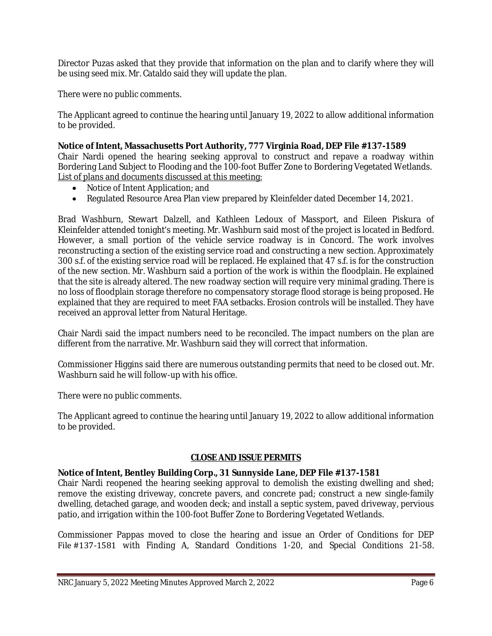Director Puzas asked that they provide that information on the plan and to clarify where they will be using seed mix. Mr. Cataldo said they will update the plan.

There were no public comments.

The Applicant agreed to continue the hearing until January 19, 2022 to allow additional information to be provided.

## **Notice of Intent, Massachusetts Port Authority, 777 Virginia Road, DEP File #137-1589**

Chair Nardi opened the hearing seeking approval to construct and repave a roadway within Bordering Land Subject to Flooding and the 100-foot Buffer Zone to Bordering Vegetated Wetlands. List of plans and documents discussed at this meeting:

- Notice of Intent Application; and
- Regulated Resource Area Plan view prepared by Kleinfelder dated December 14, 2021.

Brad Washburn, Stewart Dalzell, and Kathleen Ledoux of Massport, and Eileen Piskura of Kleinfelder attended tonight's meeting. Mr. Washburn said most of the project is located in Bedford. However, a small portion of the vehicle service roadway is in Concord. The work involves reconstructing a section of the existing service road and constructing a new section. Approximately 300 s.f. of the existing service road will be replaced. He explained that 47 s.f. is for the construction of the new section. Mr. Washburn said a portion of the work is within the floodplain. He explained that the site is already altered. The new roadway section will require very minimal grading. There is no loss of floodplain storage therefore no compensatory storage flood storage is being proposed. He explained that they are required to meet FAA setbacks. Erosion controls will be installed. They have received an approval letter from Natural Heritage.

Chair Nardi said the impact numbers need to be reconciled. The impact numbers on the plan are different from the narrative. Mr. Washburn said they will correct that information.

Commissioner Higgins said there are numerous outstanding permits that need to be closed out. Mr. Washburn said he will follow-up with his office.

There were no public comments.

The Applicant agreed to continue the hearing until January 19, 2022 to allow additional information to be provided.

## **CLOSE AND ISSUE PERMITS**

## **Notice of Intent, Bentley Building Corp., 31 Sunnyside Lane, DEP File #137-1581**

Chair Nardi reopened the hearing seeking approval to demolish the existing dwelling and shed; remove the existing driveway, concrete pavers, and concrete pad; construct a new single-family dwelling, detached garage, and wooden deck; and install a septic system, paved driveway, pervious patio, and irrigation within the 100-foot Buffer Zone to Bordering Vegetated Wetlands.

Commissioner Pappas moved to close the hearing and issue an Order of Conditions for DEP File #137-1581 with Finding A, Standard Conditions 1-20, and Special Conditions 21-58.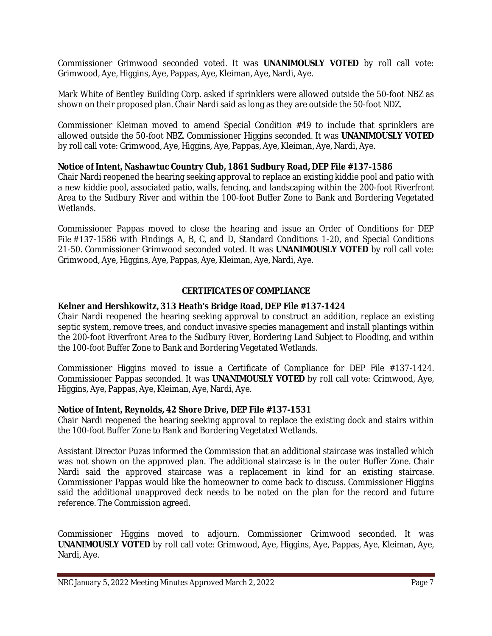Commissioner Grimwood seconded voted. It was **UNANIMOUSLY VOTED** by roll call vote: Grimwood, Aye, Higgins, Aye, Pappas, Aye, Kleiman, Aye, Nardi, Aye.

Mark White of Bentley Building Corp. asked if sprinklers were allowed outside the 50-foot NBZ as shown on their proposed plan. Chair Nardi said as long as they are outside the 50-foot NDZ.

Commissioner Kleiman moved to amend Special Condition #49 to include that sprinklers are allowed outside the 50-foot NBZ. Commissioner Higgins seconded. It was **UNANIMOUSLY VOTED** by roll call vote: Grimwood, Aye, Higgins, Aye, Pappas, Aye, Kleiman, Aye, Nardi, Aye.

## **Notice of Intent, Nashawtuc Country Club, 1861 Sudbury Road, DEP File #137-1586**

Chair Nardi reopened the hearing seeking approval to replace an existing kiddie pool and patio with a new kiddie pool, associated patio, walls, fencing, and landscaping within the 200-foot Riverfront Area to the Sudbury River and within the 100-foot Buffer Zone to Bank and Bordering Vegetated Wetlands.

Commissioner Pappas moved to close the hearing and issue an Order of Conditions for DEP File #137-1586 with Findings A, B, C, and D, Standard Conditions 1-20, and Special Conditions 21-50. Commissioner Grimwood seconded voted. It was **UNANIMOUSLY VOTED** by roll call vote: Grimwood, Aye, Higgins, Aye, Pappas, Aye, Kleiman, Aye, Nardi, Aye.

## **CERTIFICATES OF COMPLIANCE**

## **Kelner and Hershkowitz, 313 Heath's Bridge Road, DEP File #137-1424**

Chair Nardi reopened the hearing seeking approval to construct an addition, replace an existing septic system, remove trees, and conduct invasive species management and install plantings within the 200-foot Riverfront Area to the Sudbury River, Bordering Land Subject to Flooding, and within the 100-foot Buffer Zone to Bank and Bordering Vegetated Wetlands.

Commissioner Higgins moved to issue a Certificate of Compliance for DEP File #137-1424. Commissioner Pappas seconded. It was **UNANIMOUSLY VOTED** by roll call vote: Grimwood, Aye, Higgins, Aye, Pappas, Aye, Kleiman, Aye, Nardi, Aye.

## **Notice of Intent, Reynolds, 42 Shore Drive, DEP File #137-1531**

Chair Nardi reopened the hearing seeking approval to replace the existing dock and stairs within the 100-foot Buffer Zone to Bank and Bordering Vegetated Wetlands.

Assistant Director Puzas informed the Commission that an additional staircase was installed which was not shown on the approved plan. The additional staircase is in the outer Buffer Zone. Chair Nardi said the approved staircase was a replacement in kind for an existing staircase. Commissioner Pappas would like the homeowner to come back to discuss. Commissioner Higgins said the additional unapproved deck needs to be noted on the plan for the record and future reference. The Commission agreed.

Commissioner Higgins moved to adjourn. Commissioner Grimwood seconded. It was **UNANIMOUSLY VOTED** by roll call vote: Grimwood, Aye, Higgins, Aye, Pappas, Aye, Kleiman, Aye, Nardi, Aye.